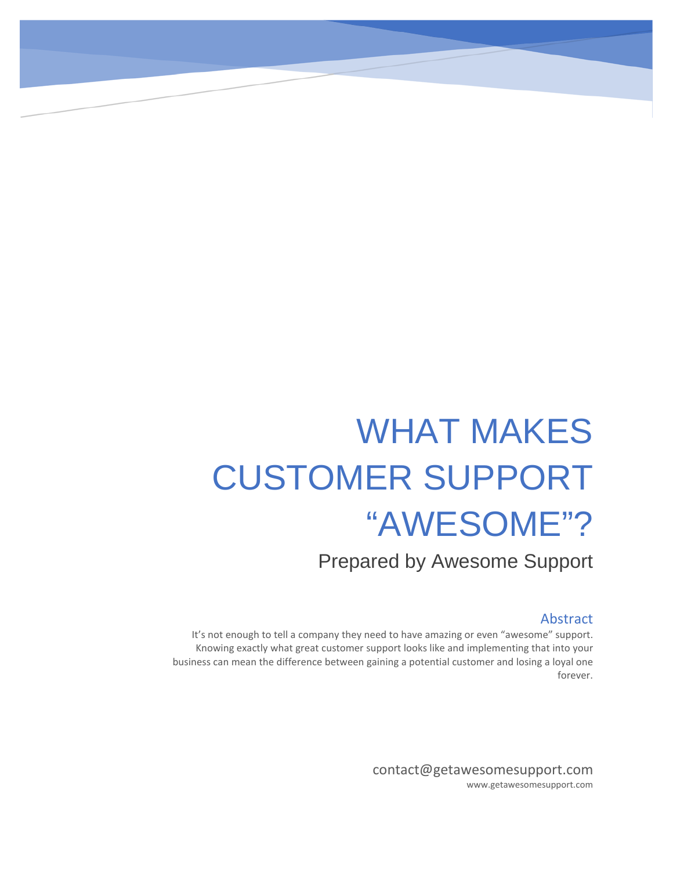# WHAT MAKES CUSTOMER SUPPORT "AWESOME"?

Prepared by Awesome Support

#### Abstract

It's not enough to tell a company they need to have amazing or even "awesome" support. Knowing exactly what great customer support looks like and implementing that into your business can mean the difference between gaining a potential customer and losing a loyal one forever.

> contact@getawesomesupport.com www.getawesomesupport.com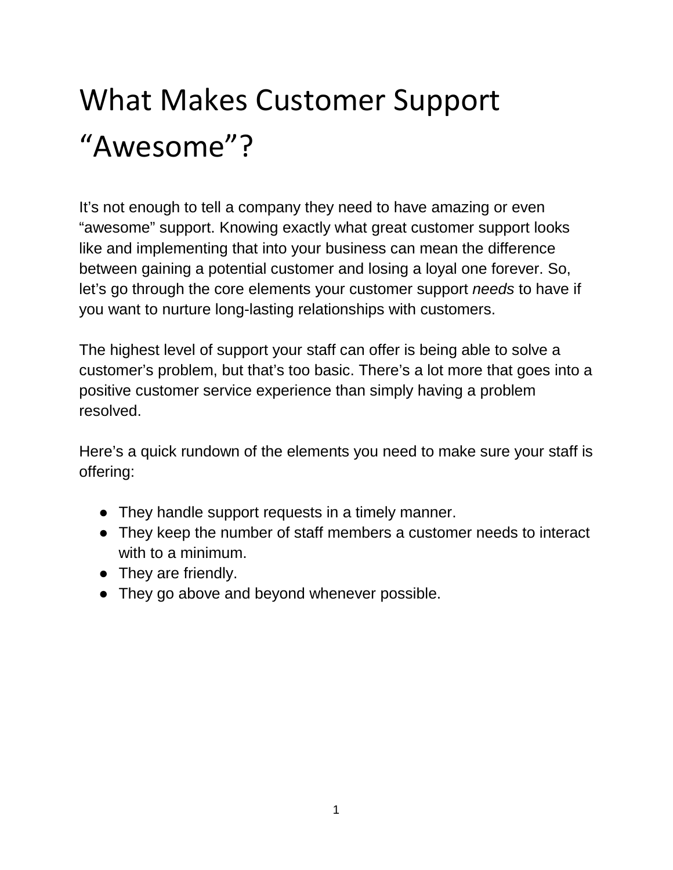# What Makes Customer Support "Awesome"?

It's not enough to tell a company they need to have amazing or even "awesome" support. Knowing exactly what great customer support looks like and implementing that into your business can mean the difference between gaining a potential customer and losing a loyal one forever. So, let's go through the core elements your customer support *needs* to have if you want to nurture long-lasting relationships with customers.

The highest level of support your staff can offer is being able to solve a customer's problem, but that's too basic. There's a lot more that goes into a positive customer service experience than simply having a problem resolved.

Here's a quick rundown of the elements you need to make sure your staff is offering:

- They handle support requests in a timely manner.
- They keep the number of staff members a customer needs to interact with to a minimum.
- They are friendly.
- They go above and beyond whenever possible.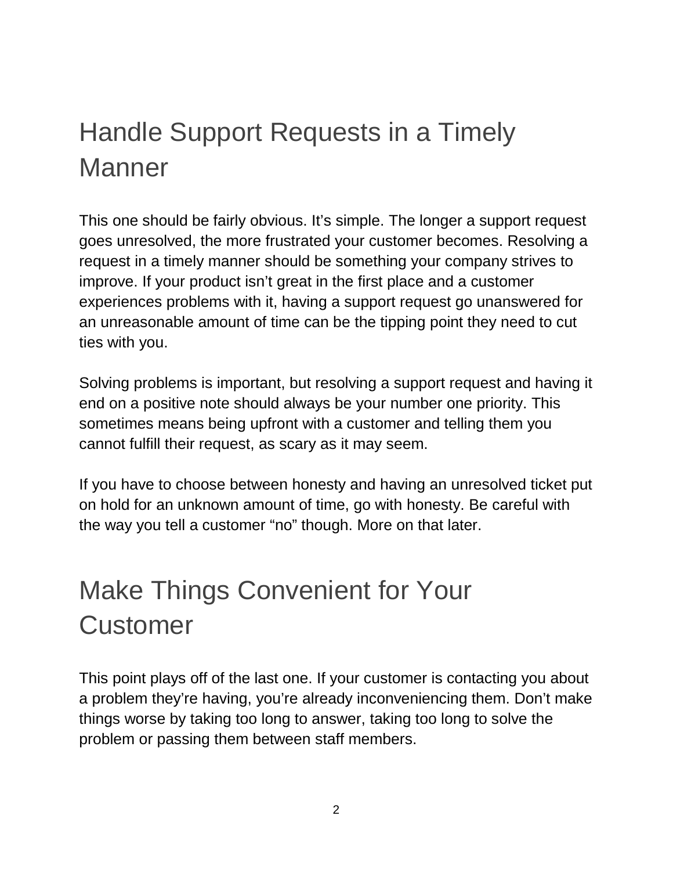### Handle Support Requests in a Timely **Manner**

This one should be fairly obvious. It's simple. The longer a support request goes unresolved, the more frustrated your customer becomes. Resolving a request in a timely manner should be something your company strives to improve. If your product isn't great in the first place and a customer experiences problems with it, having a support request go unanswered for an unreasonable amount of time can be the tipping point they need to cut ties with you.

Solving problems is important, but resolving a support request and having it end on a positive note should always be your number one priority. This sometimes means being upfront with a customer and telling them you cannot fulfill their request, as scary as it may seem.

If you have to choose between honesty and having an unresolved ticket put on hold for an unknown amount of time, go with honesty. Be careful with the way you tell a customer "no" though. More on that later.

### Make Things Convenient for Your **Customer**

This point plays off of the last one. If your customer is contacting you about a problem they're having, you're already inconveniencing them. Don't make things worse by taking too long to answer, taking too long to solve the problem or passing them between staff members.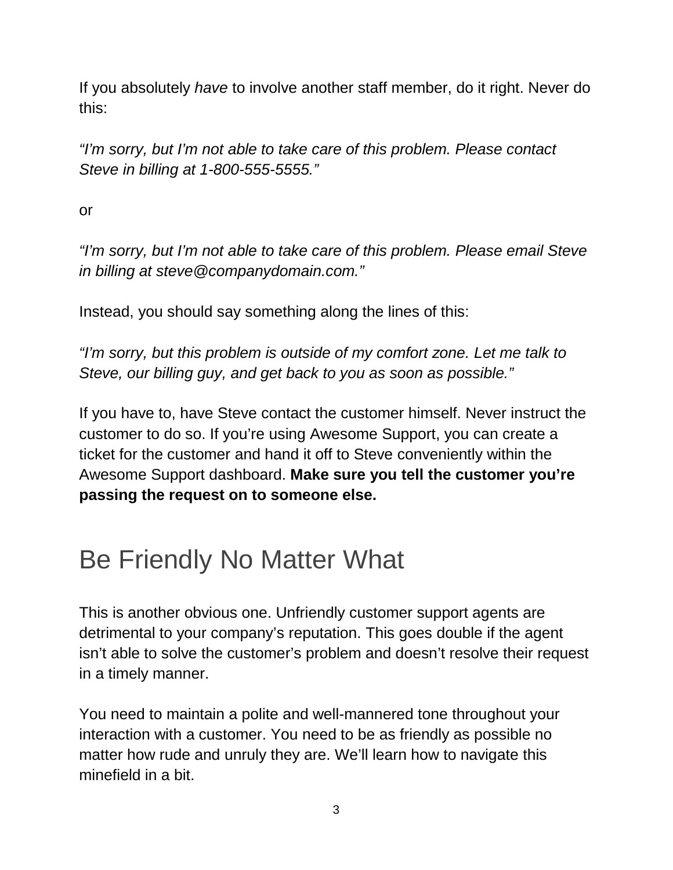If you absolutely *have* to involve another staff member, do it right. Never do this:

*"I'm sorry, but I'm not able to take care of this problem. Please contact Steve in billing at 1-800-555-5555."*

or

*"I'm sorry, but I'm not able to take care of this problem. Please email Steve in billing at steve@companydomain.com."*

Instead, you should say something along the lines of this:

*"I'm sorry, but this problem is outside of my comfort zone. Let me talk to Steve, our billing guy, and get back to you as soon as possible."*

If you have to, have Steve contact the customer himself. Never instruct the customer to do so. If you're using Awesome Support, you can create a ticket for the customer and hand it off to Steve conveniently within the Awesome Support dashboard. **Make sure you tell the customer you're passing the request on to someone else.**

### Be Friendly No Matter What

This is another obvious one. Unfriendly customer support agents are detrimental to your company's reputation. This goes double if the agent isn't able to solve the customer's problem and doesn't resolve their request in a timely manner.

You need to maintain a polite and well-mannered tone throughout your interaction with a customer. You need to be as friendly as possible no matter how rude and unruly they are. We'll learn how to navigate this minefield in a bit.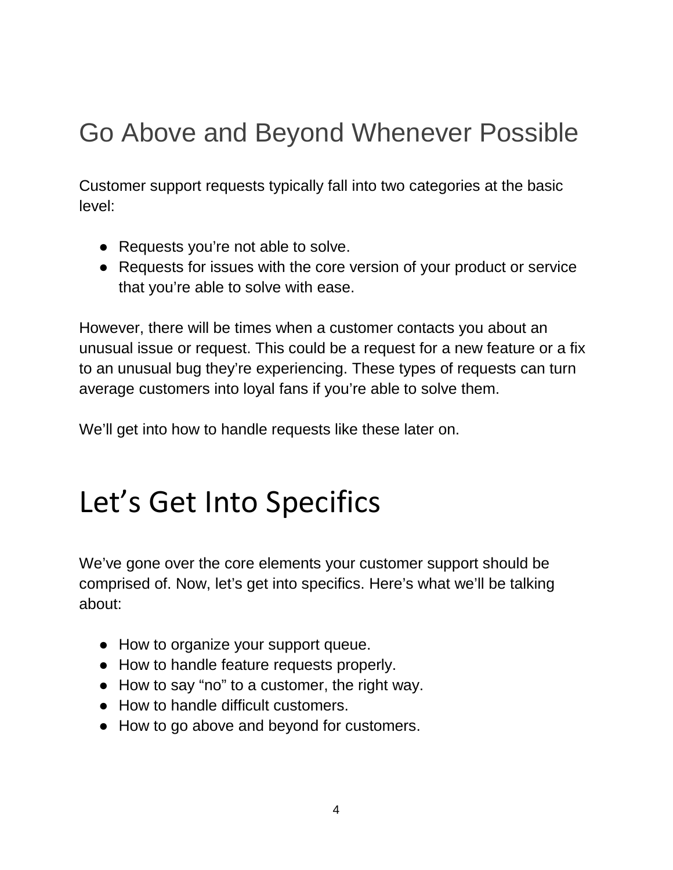### Go Above and Beyond Whenever Possible

Customer support requests typically fall into two categories at the basic level:

- Requests you're not able to solve.
- Requests for issues with the core version of your product or service that you're able to solve with ease.

However, there will be times when a customer contacts you about an unusual issue or request. This could be a request for a new feature or a fix to an unusual bug they're experiencing. These types of requests can turn average customers into loyal fans if you're able to solve them.

We'll get into how to handle requests like these later on.

## Let's Get Into Specifics

We've gone over the core elements your customer support should be comprised of. Now, let's get into specifics. Here's what we'll be talking about:

- How to organize your support queue.
- How to handle feature requests properly.
- How to say "no" to a customer, the right way.
- How to handle difficult customers.
- How to go above and beyond for customers.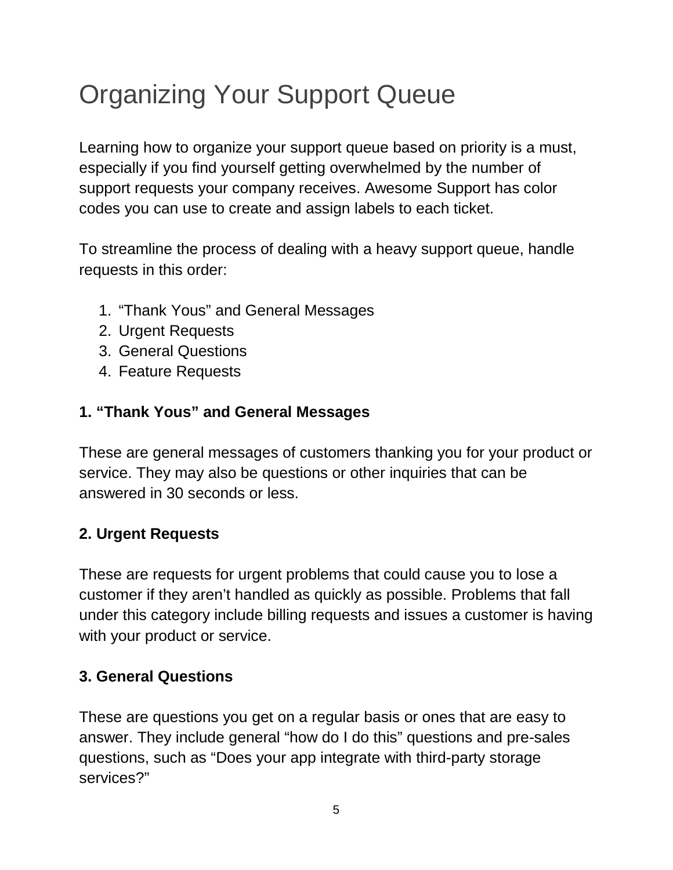### Organizing Your Support Queue

Learning how to organize your support queue based on priority is a must, especially if you find yourself getting overwhelmed by the number of support requests your company receives. Awesome Support has color codes you can use to create and assign labels to each ticket.

To streamline the process of dealing with a heavy support queue, handle requests in this order:

- 1. "Thank Yous" and General Messages
- 2. Urgent Requests
- 3. General Questions
- 4. Feature Requests

#### **1. "Thank Yous" and General Messages**

These are general messages of customers thanking you for your product or service. They may also be questions or other inquiries that can be answered in 30 seconds or less.

#### **2. Urgent Requests**

These are requests for urgent problems that could cause you to lose a customer if they aren't handled as quickly as possible. Problems that fall under this category include billing requests and issues a customer is having with your product or service.

#### **3. General Questions**

These are questions you get on a regular basis or ones that are easy to answer. They include general "how do I do this" questions and pre-sales questions, such as "Does your app integrate with third-party storage services?"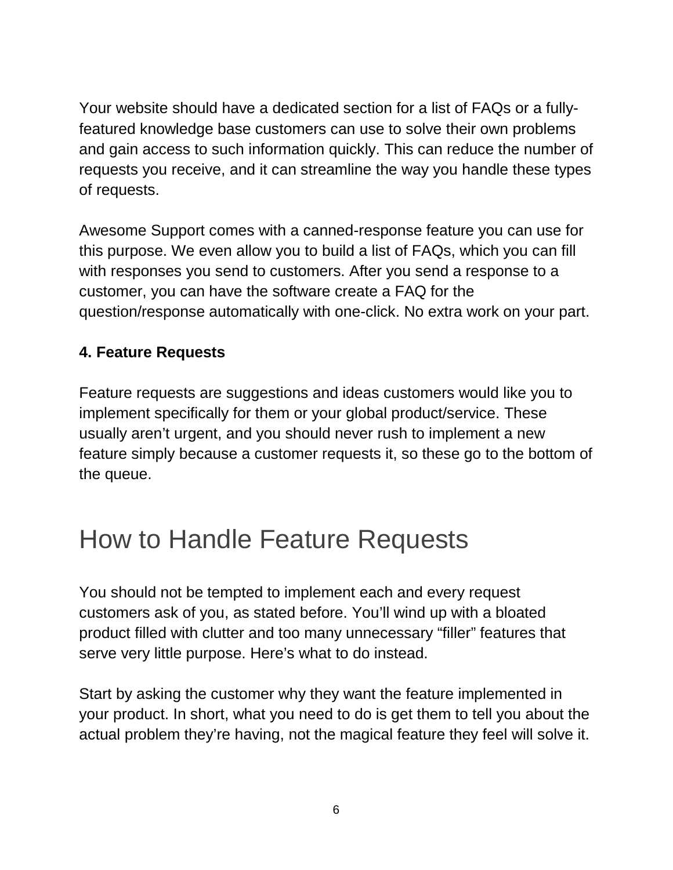Your website should have a dedicated section for a list of FAQs or a fullyfeatured knowledge base customers can use to solve their own problems and gain access to such information quickly. This can reduce the number of requests you receive, and it can streamline the way you handle these types of requests.

Awesome Support comes with a canned-response feature you can use for this purpose. We even allow you to build a list of FAQs, which you can fill with responses you send to customers. After you send a response to a customer, you can have the software create a FAQ for the question/response automatically with one-click. No extra work on your part.

#### **4. Feature Requests**

Feature requests are suggestions and ideas customers would like you to implement specifically for them or your global product/service. These usually aren't urgent, and you should never rush to implement a new feature simply because a customer requests it, so these go to the bottom of the queue.

### How to Handle Feature Requests

You should not be tempted to implement each and every request customers ask of you, as stated before. You'll wind up with a bloated product filled with clutter and too many unnecessary "filler" features that serve very little purpose. Here's what to do instead.

Start by asking the customer why they want the feature implemented in your product. In short, what you need to do is get them to tell you about the actual problem they're having, not the magical feature they feel will solve it.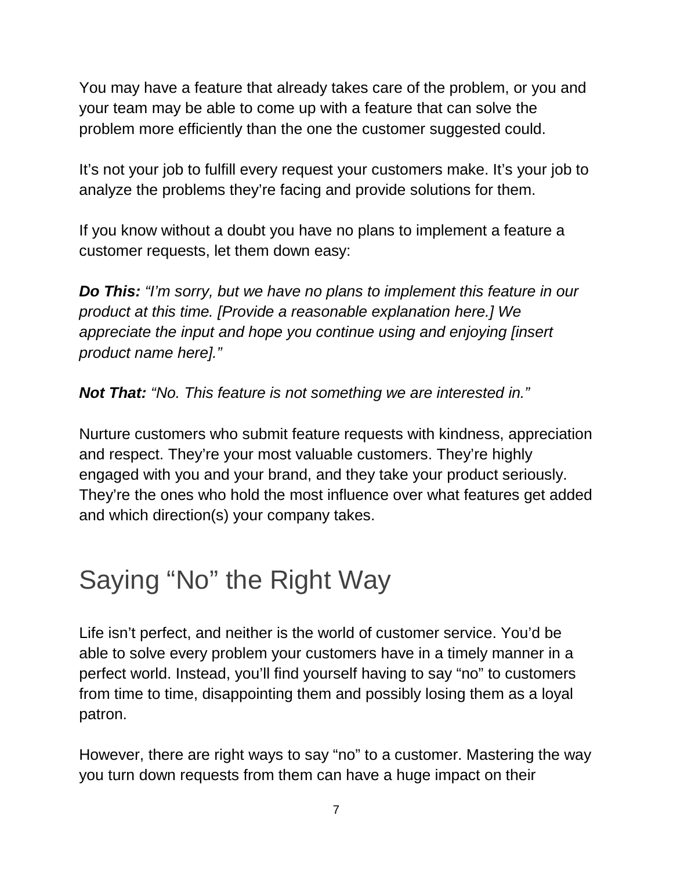You may have a feature that already takes care of the problem, or you and your team may be able to come up with a feature that can solve the problem more efficiently than the one the customer suggested could.

It's not your job to fulfill every request your customers make. It's your job to analyze the problems they're facing and provide solutions for them.

If you know without a doubt you have no plans to implement a feature a customer requests, let them down easy:

*Do This: "I'm sorry, but we have no plans to implement this feature in our product at this time. [Provide a reasonable explanation here.] We appreciate the input and hope you continue using and enjoying [insert product name here]."*

*Not That: "No. This feature is not something we are interested in."*

Nurture customers who submit feature requests with kindness, appreciation and respect. They're your most valuable customers. They're highly engaged with you and your brand, and they take your product seriously. They're the ones who hold the most influence over what features get added and which direction(s) your company takes.

### Saying "No" the Right Way

Life isn't perfect, and neither is the world of customer service. You'd be able to solve every problem your customers have in a timely manner in a perfect world. Instead, you'll find yourself having to say "no" to customers from time to time, disappointing them and possibly losing them as a loyal patron.

However, there are right ways to say "no" to a customer. Mastering the way you turn down requests from them can have a huge impact on their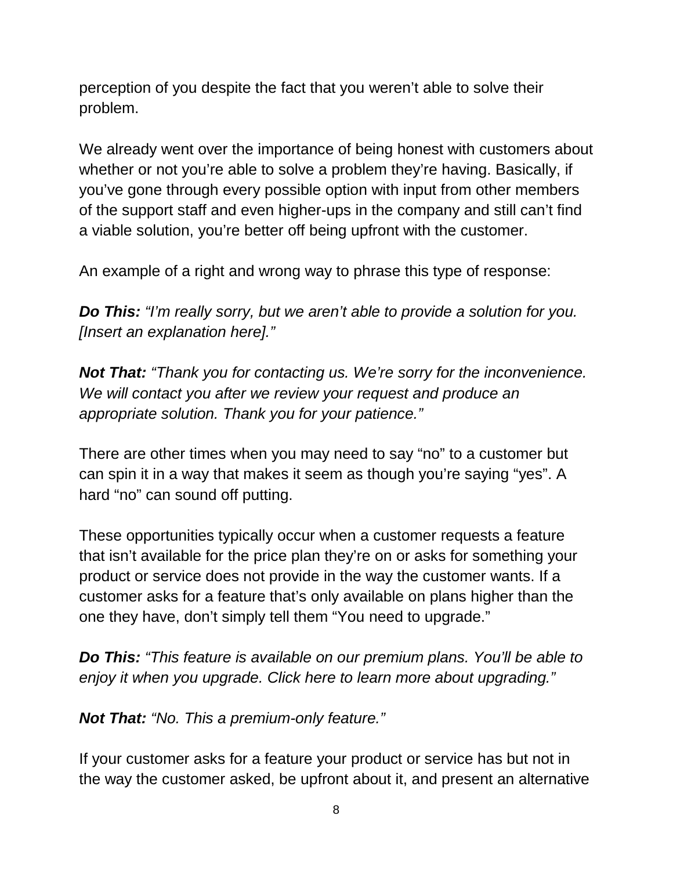perception of you despite the fact that you weren't able to solve their problem.

We already went over the importance of being honest with customers about whether or not you're able to solve a problem they're having. Basically, if you've gone through every possible option with input from other members of the support staff and even higher-ups in the company and still can't find a viable solution, you're better off being upfront with the customer.

An example of a right and wrong way to phrase this type of response:

*Do This: "I'm really sorry, but we aren't able to provide a solution for you. [Insert an explanation here]."*

*Not That: "Thank you for contacting us. We're sorry for the inconvenience. We will contact you after we review your request and produce an appropriate solution. Thank you for your patience."*

There are other times when you may need to say "no" to a customer but can spin it in a way that makes it seem as though you're saying "yes". A hard "no" can sound off putting.

These opportunities typically occur when a customer requests a feature that isn't available for the price plan they're on or asks for something your product or service does not provide in the way the customer wants. If a customer asks for a feature that's only available on plans higher than the one they have, don't simply tell them "You need to upgrade."

*Do This: "This feature is available on our premium plans. You'll be able to enjoy it when you upgrade. Click here to learn more about upgrading."*

*Not That: "No. This a premium-only feature."*

If your customer asks for a feature your product or service has but not in the way the customer asked, be upfront about it, and present an alternative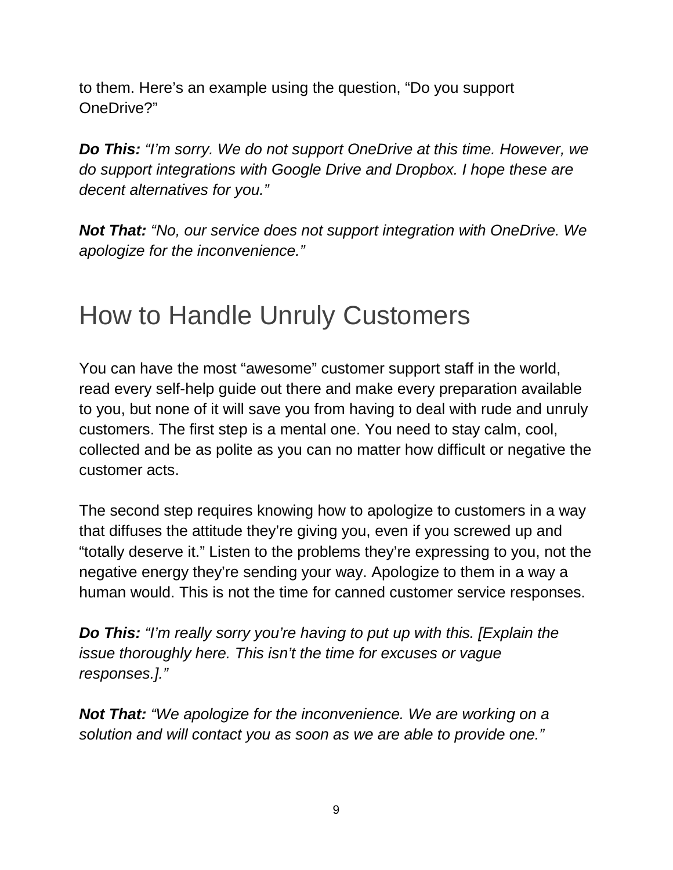to them. Here's an example using the question, "Do you support OneDrive?"

*Do This: "I'm sorry. We do not support OneDrive at this time. However, we do support integrations with Google Drive and Dropbox. I hope these are decent alternatives for you."*

*Not That: "No, our service does not support integration with OneDrive. We apologize for the inconvenience."*

### How to Handle Unruly Customers

You can have the most "awesome" customer support staff in the world, read every self-help guide out there and make every preparation available to you, but none of it will save you from having to deal with rude and unruly customers. The first step is a mental one. You need to stay calm, cool, collected and be as polite as you can no matter how difficult or negative the customer acts.

The second step requires knowing how to apologize to customers in a way that diffuses the attitude they're giving you, even if you screwed up and "totally deserve it." Listen to the problems they're expressing to you, not the negative energy they're sending your way. Apologize to them in a way a human would. This is not the time for canned customer service responses.

*Do This: "I'm really sorry you're having to put up with this. [Explain the issue thoroughly here. This isn't the time for excuses or vague responses.]."*

*Not That: "We apologize for the inconvenience. We are working on a solution and will contact you as soon as we are able to provide one."*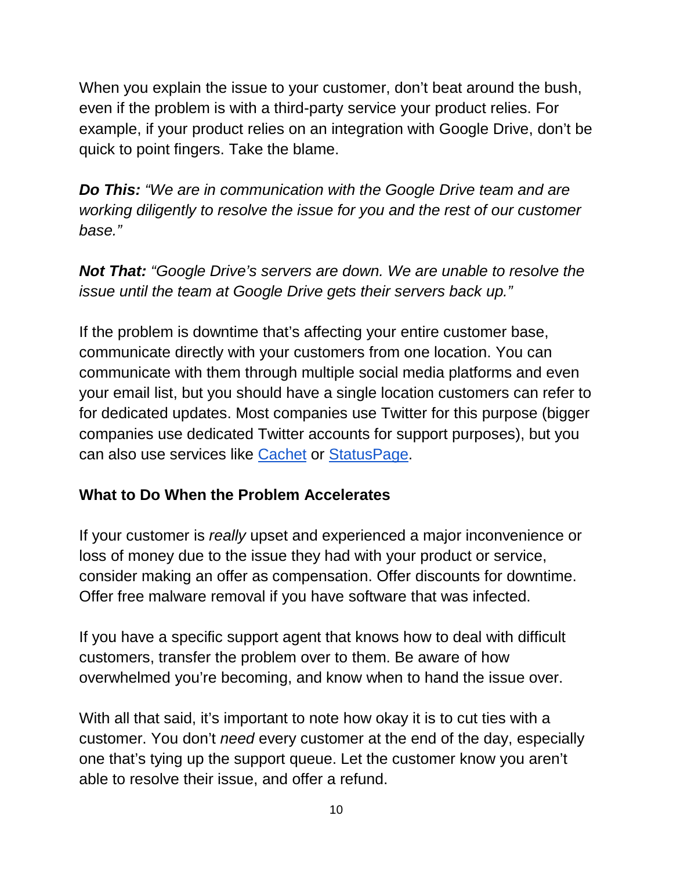When you explain the issue to your customer, don't beat around the bush, even if the problem is with a third-party service your product relies. For example, if your product relies on an integration with Google Drive, don't be quick to point fingers. Take the blame.

*Do This: "We are in communication with the Google Drive team and are working diligently to resolve the issue for you and the rest of our customer base."*

*Not That: "Google Drive's servers are down. We are unable to resolve the issue until the team at Google Drive gets their servers back up."*

If the problem is downtime that's affecting your entire customer base, communicate directly with your customers from one location. You can communicate with them through multiple social media platforms and even your email list, but you should have a single location customers can refer to for dedicated updates. Most companies use Twitter for this purpose (bigger companies use dedicated Twitter accounts for support purposes), but you can also use services like [Cachet](https://cachethq.io/) or [StatusPage.](https://www.statuspage.io/)

#### **What to Do When the Problem Accelerates**

If your customer is *really* upset and experienced a major inconvenience or loss of money due to the issue they had with your product or service, consider making an offer as compensation. Offer discounts for downtime. Offer free malware removal if you have software that was infected.

If you have a specific support agent that knows how to deal with difficult customers, transfer the problem over to them. Be aware of how overwhelmed you're becoming, and know when to hand the issue over.

With all that said, it's important to note how okay it is to cut ties with a customer. You don't *need* every customer at the end of the day, especially one that's tying up the support queue. Let the customer know you aren't able to resolve their issue, and offer a refund.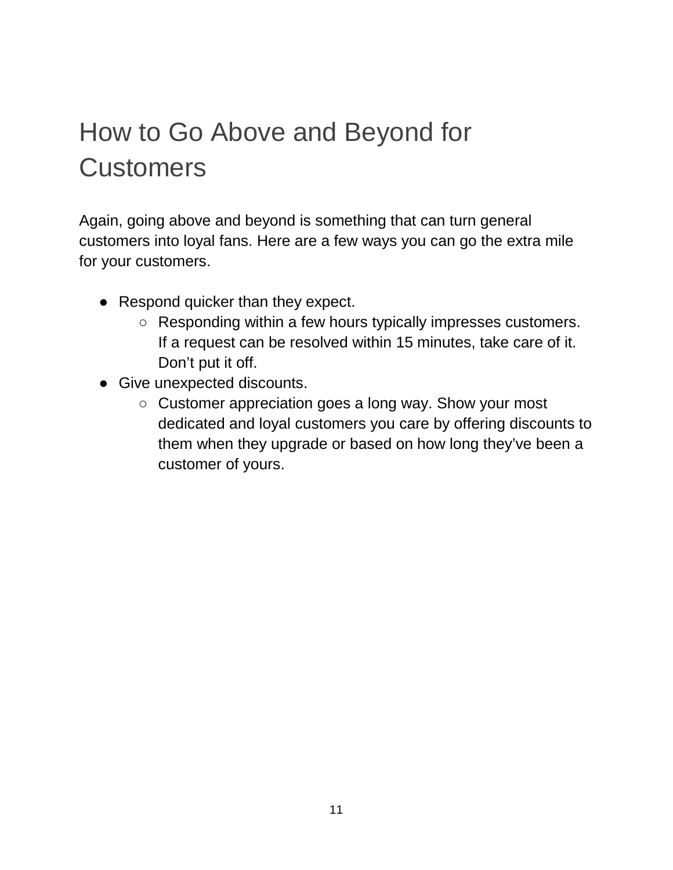### How to Go Above and Beyond for **Customers**

Again, going above and beyond is something that can turn general customers into loyal fans. Here are a few ways you can go the extra mile for your customers.

- Respond quicker than they expect.
	- Responding within a few hours typically impresses customers. If a request can be resolved within 15 minutes, take care of it. Don't put it off.
- Give unexpected discounts.
	- Customer appreciation goes a long way. Show your most dedicated and loyal customers you care by offering discounts to them when they upgrade or based on how long they've been a customer of yours.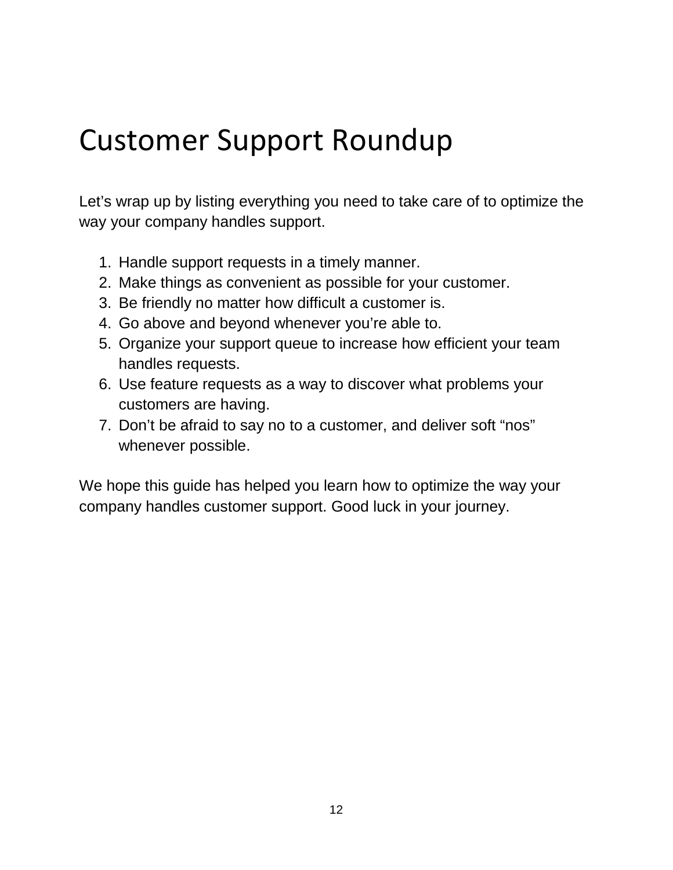### Customer Support Roundup

Let's wrap up by listing everything you need to take care of to optimize the way your company handles support.

- 1. Handle support requests in a timely manner.
- 2. Make things as convenient as possible for your customer.
- 3. Be friendly no matter how difficult a customer is.
- 4. Go above and beyond whenever you're able to.
- 5. Organize your support queue to increase how efficient your team handles requests.
- 6. Use feature requests as a way to discover what problems your customers are having.
- 7. Don't be afraid to say no to a customer, and deliver soft "nos" whenever possible.

We hope this guide has helped you learn how to optimize the way your company handles customer support. Good luck in your journey.